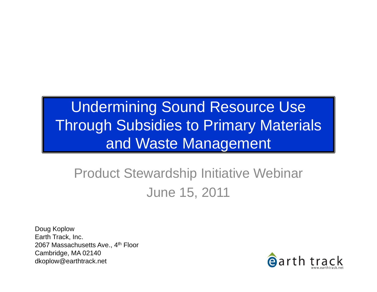#### Undermining Sound Resource Use Through Subsidies to Primary Materials and Waste Management

#### Product Stewardship Initiative Webinar June 15, 2011

Doug Koplow Earth Track, Inc. 2067 Massachusetts Ave., 4<sup>th</sup> Floor Cambridge, MA 02140 dkoplow@earthtrack.net

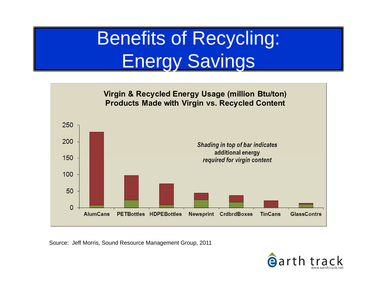### Benefits of Recycling: Energy Savings



Source: Jeff Morris, Sound Resource Management Group, 2011

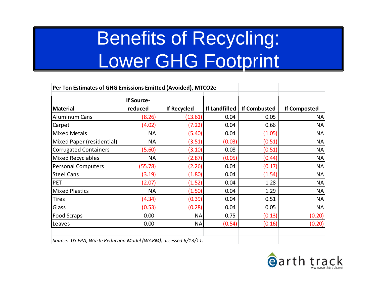### Benefits of Recycling: Lower GHG Footprint

| Per Ton Estimates of GHG Emissions Emitted (Avoided), MTCO2e    |                              |                    |               |                     |                     |
|-----------------------------------------------------------------|------------------------------|--------------------|---------------|---------------------|---------------------|
| <b>Material</b>                                                 | <b>If Source-</b><br>reduced | <b>If Recycled</b> | If Landfilled | <b>If Combusted</b> | <b>If Composted</b> |
| <b>Aluminum Cans</b>                                            | (8.26)                       | (13.61)            | 0.04          | 0.05                | <b>NA</b>           |
| Carpet                                                          | (4.02)                       | (7.22)             | 0.04          | 0.66                | <b>NA</b>           |
| <b>Mixed Metals</b>                                             | <b>NA</b>                    | (5.40)             | 0.04          | (1.05)              | <b>NA</b>           |
| Mixed Paper (residential)                                       | <b>NA</b>                    | (3.51)             | (0.03)        | (0.51)              | <b>NA</b>           |
| <b>Corrugated Containers</b>                                    | (5.60)                       | (3.10)             | 0.08          | (0.51)              | <b>NA</b>           |
| <b>Mixed Recyclables</b>                                        | <b>NA</b>                    | (2.87)             | (0.05)        | (0.44)              | <b>NA</b>           |
| <b>Personal Computers</b>                                       | (55.78)                      | (2.26)             | 0.04          | (0.17)              | <b>NA</b>           |
| <b>Steel Cans</b>                                               | (3.19)                       | (1.80)             | 0.04          | (1.54)              | <b>NA</b>           |
| PET                                                             | (2.07)                       | (1.52)             | 0.04          | 1.28                | <b>NA</b>           |
| <b>Mixed Plastics</b>                                           | <b>NA</b>                    | (1.50)             | 0.04          | 1.29                | <b>NA</b>           |
| <b>Tires</b>                                                    | (4.34)                       | (0.39)             | 0.04          | 0.51                | <b>NA</b>           |
| Glass                                                           | (0.53)                       | (0.28)             | 0.04          | 0.05                | <b>NA</b>           |
| <b>Food Scraps</b>                                              | 0.00                         | <b>NA</b>          | 0.75          | (0.13)              | (0.20)              |
| Leaves                                                          | 0.00                         | <b>NA</b>          | (0.54)        | (0.16)              | (0.20)              |
| Source: US EPA, Waste Reduction Model (WARM), accessed 6/13/11. |                              |                    |               |                     |                     |

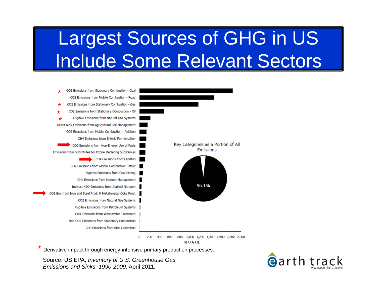### Largest Sources of GHG in US Include Some Relevant Sectors



 $TgCO<sub>2</sub>Eq.$ 

Derivative impact through energy-intensive primary production processes.

Source: US EPA, *Inventory of U.S. Greenhouse Gas Emissions and Sinks, 1990-2009*, April 2011.

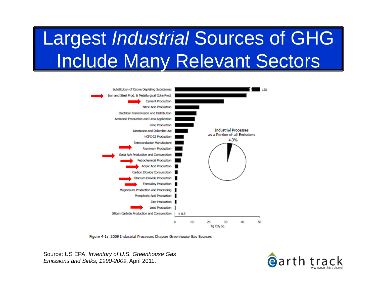# Largest *Industrial* Sources of GHG Include Many Relevant Sectors



Figure 4-1: 2009 Industrial Processes Chapter Greenhouse Gas Sources

Source: US EPA, *Inventory of U.S. Greenhouse Gas Emissions and Sinks, 1990-2009*, April 2011.

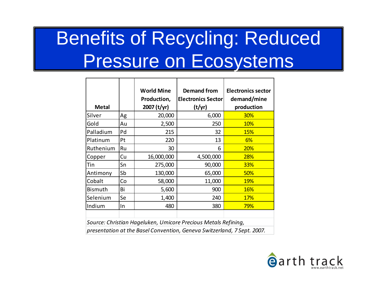# Benefits of Recycling: Reduced Pressure on Ecosystems

|                                                                         |    | <b>World Mine</b><br>Production, | <b>Demand from</b><br><b>Electronics Sector</b> | <b>Electronics sector</b><br>demand/mine |
|-------------------------------------------------------------------------|----|----------------------------------|-------------------------------------------------|------------------------------------------|
| <b>Metal</b>                                                            |    | 2007 (t/yr)                      | (t/yr)                                          | production                               |
| Silver                                                                  | Ag | 20,000                           | 6,000                                           | 30%                                      |
| Gold                                                                    | Au | 2,500                            | 250                                             | 10%                                      |
| Palladium                                                               | Pd | 215                              | 32                                              | <b>15%</b>                               |
| Platinum                                                                | Pt | 220                              | 13                                              | 6%                                       |
| Ruthenium                                                               | Ru | 30                               | 6                                               | 20%                                      |
| Copper                                                                  | Cu | 16,000,000                       | 4,500,000                                       | 28%                                      |
| Tin                                                                     | Sn | 275,000                          | 90,000                                          | 33%                                      |
| Antimony                                                                | Sb | 130,000                          | 65,000                                          | 50%                                      |
| Cobalt                                                                  | Co | 58,000                           | 11,000                                          | <b>19%</b>                               |
| <b>Bismuth</b>                                                          | Bi | 5,600                            | 900                                             | <b>16%</b>                               |
| Selenium                                                                | Se | 1,400                            | 240                                             | <b>17%</b>                               |
| Indium                                                                  | In | 480                              | 380                                             | 79%                                      |
|                                                                         |    |                                  |                                                 |                                          |
| Source: Christian Hageluken, Umicore Precious Metals Refining,          |    |                                  |                                                 |                                          |
| presentation at the Basel Convention, Geneva Switzerland, 7 Sept. 2007. |    |                                  |                                                 |                                          |

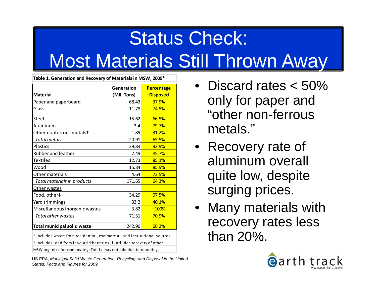# Status Check: Most Materials Still Thrown Away

| <b>Material</b><br>Total metals                                                | (Mil. Tons)<br>68.43<br>11.78<br>15.62<br>3.4<br>1.89<br>20.91<br>29.83<br>7.49<br>12.73 | <b>Disposed</b><br>37.9%<br>74.5%<br>66.5%<br>79.7%<br>31.2%<br>65.5%<br>92.9%<br>85.7% |
|--------------------------------------------------------------------------------|------------------------------------------------------------------------------------------|-----------------------------------------------------------------------------------------|
| Paper and paperboard<br>Glass<br>Steel<br>Aluminum<br>Other nonferrous metalst |                                                                                          |                                                                                         |
|                                                                                |                                                                                          |                                                                                         |
|                                                                                |                                                                                          |                                                                                         |
|                                                                                |                                                                                          |                                                                                         |
|                                                                                |                                                                                          |                                                                                         |
|                                                                                |                                                                                          |                                                                                         |
| Plastics<br>Rubber and leather<br><b>Textiles</b><br>Wood                      |                                                                                          |                                                                                         |
|                                                                                |                                                                                          |                                                                                         |
|                                                                                |                                                                                          |                                                                                         |
|                                                                                |                                                                                          | 85.1%                                                                                   |
|                                                                                | 15.84                                                                                    | 85.9%                                                                                   |
| Other materials                                                                | 4.64                                                                                     | 73.5%                                                                                   |
| Total materials in products                                                    | 171.65                                                                                   | 64.3%                                                                                   |
| Other wastes                                                                   |                                                                                          |                                                                                         |
| Food, other‡                                                                   | 34.29                                                                                    | 97.5%                                                                                   |
| Yard trimmings                                                                 | 33.2                                                                                     | 40.1%                                                                                   |
| Miscellaneous inorganic wastes                                                 | 3.82                                                                                     | $^{\sim}100\%$                                                                          |
| Total other wastes                                                             | 71.31                                                                                    | 70.9%                                                                                   |
| <b>Total municipal solid waste</b>                                             | 242.96                                                                                   | 66.2%                                                                                   |

MSW organics for composting; Totals may not add due to rounding.

US EPA, *Municipal Solid Waste Generation, Recycling, and Disposal in the United States: Facts and Figures for 2009* 

- Discard rates < 50% only for paper and "other non-ferrous metals."
- Recovery rate of aluminum overall quite low, despite surging prices.
- Many materials with recovery rates less than 20%.

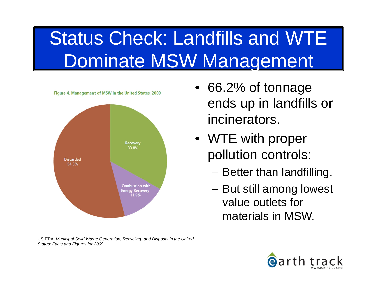# Status Check: Landfills and WTE Dominate MSW Management



US EPA, *Municipal Solid Waste Generation, Recycling, and Disposal in the United States: Facts and Figures for 2009* 

- 66.2% of tonnage ends up in landfills or incinerators.
- WTE with proper pollution controls:
	- Better than landfilling.
	- But still among lowest value outlets for materials in MSW.

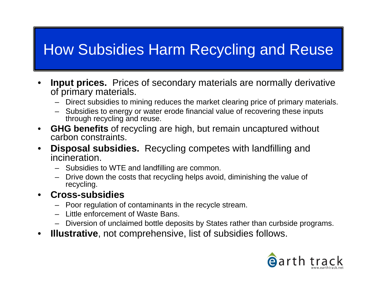#### How Subsidies Harm Recycling and Reuse

- • **Input prices.** Prices of secondary materials are normally derivative of primary materials.
	- –Direct subsidies to mining reduces the market clearing price of primary materials.
	- Subsidies to energy or water erode financial value of recovering these inputs through recycling and reuse.
- $\bullet$  **GHG benefits** of recycling are high, but remain uncaptured without carbon constraints.
- • **Disposal subsidies.** Recycling competes with landfilling and incineration.
	- Subsidies to WTE and landfilling are common.
	- – Drive down the costs that recycling helps avoid, diminishing the value of recycling.
- • **Cross-subsidies**
	- Poor regulation of contaminants in the recycle stream.
	- Little enforcement of Waste Bans.
	- Diversion of unclaimed bottle deposits by States rather than curbside programs.
- •**Illustrative**, not comprehensive, list of subsidies follows.

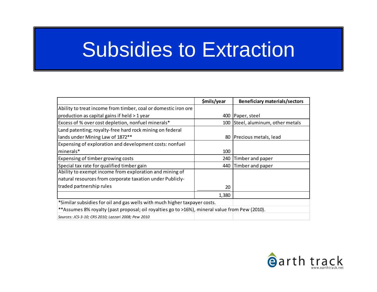### Subsidies to Extraction

|                                                                                                 | \$mils/year | <b>Beneficiary materials/sectors</b> |
|-------------------------------------------------------------------------------------------------|-------------|--------------------------------------|
| Ability to treat income from timber, coal or domestic iron ore                                  |             |                                      |
| production as capital gains if held > 1 year                                                    | 400         | Paper, steel                         |
| Excess of % over cost depletion, nonfuel minerals*                                              | 100         | Steel, aluminum, other metals        |
| Land patenting; royalty-free hard rock mining on federal                                        |             |                                      |
| lands under Mining Law of 1872**                                                                |             | 80 Precious metals, lead             |
| Expensing of exploration and development costs: nonfuel                                         |             |                                      |
| minerals*                                                                                       | 100         |                                      |
| Expensing of timber growing costs                                                               | 240         | Timber and paper                     |
| Special tax rate for qualified timber gain                                                      | 440         | Timber and paper                     |
| Ability to exempt income from exploration and mining of                                         |             |                                      |
| natural resources from corporate taxation under Publicly-                                       |             |                                      |
| traded partnership rules                                                                        | 20          |                                      |
|                                                                                                 | 1,380       |                                      |
| *Similar subsidies for oil and gas wells with much higher taxpayer costs.                       |             |                                      |
| ** Assumes 8% royalty (past proposal; oil royalties go to >16%), mineral value from Pew (2010). |             |                                      |
| Sources: JCS-3-10; CRS 2010; Lazzari 2008; Pew 2010                                             |             |                                      |

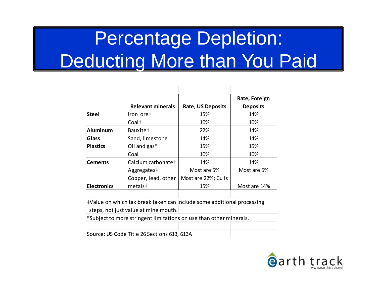# Percentage Depletion: Deducting More than You Paid

|                                                                        |                                                                    |                          | Rate, Foreign   |  |
|------------------------------------------------------------------------|--------------------------------------------------------------------|--------------------------|-----------------|--|
|                                                                        | <b>Relevant minerals</b>                                           | <b>Rate, US Deposits</b> | <b>Deposits</b> |  |
| <b>Steel</b>                                                           | Iron ore‡                                                          | 15%                      | 14%             |  |
|                                                                        | Coal‡                                                              | 10%                      | 10%             |  |
| <b>Aluminum</b>                                                        | Bauxite‡                                                           | 22%                      | 14%             |  |
| Glass                                                                  | Sand, limestone                                                    | 14%                      | 14%             |  |
| <b>Plastics</b>                                                        | Oil and gas*                                                       | 15%                      | 15%             |  |
|                                                                        | Coal                                                               | 10%                      | 10%             |  |
| <b>Cements</b>                                                         | Calcium carbonate‡                                                 | 14%                      | 14%             |  |
|                                                                        | Aggregates‡                                                        | Most are 5%              | Most are 5%     |  |
|                                                                        | Copper, lead, other                                                | Most are 22%; Cu is      |                 |  |
| <b>Electronics</b>                                                     | metals <sup>‡</sup>                                                | 15%                      | Most are 14%    |  |
|                                                                        |                                                                    |                          |                 |  |
| #Value on which tax break taken can include some additional processing |                                                                    |                          |                 |  |
|                                                                        | steps, not just value at mine mouth.                               |                          |                 |  |
|                                                                        | *Subject to more stringent limitations on use than other minerals. |                          |                 |  |
|                                                                        |                                                                    |                          |                 |  |
|                                                                        | Source: US Code Title 26 Sections 613, 613A                        |                          |                 |  |

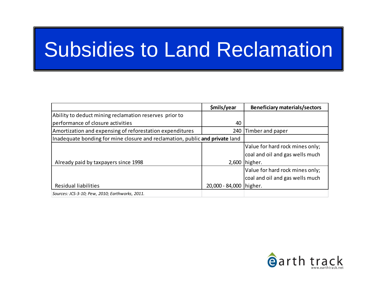# Subsidies to Land Reclamation

|                                                                              | \$mils/year               | <b>Beneficiary materials/sectors</b> |
|------------------------------------------------------------------------------|---------------------------|--------------------------------------|
| Ability to deduct mining reclamation reserves prior to                       |                           |                                      |
| performance of closure activities                                            | 40                        |                                      |
| Amortization and expensing of reforestation expenditures                     | 240                       | Timber and paper                     |
| Inadequate bonding for mine closure and reclamation, public and private land |                           |                                      |
|                                                                              |                           | Value for hard rock mines only;      |
|                                                                              |                           | coal and oil and gas wells much      |
| Already paid by taxpayers since 1998                                         |                           | 2,600   higher.                      |
|                                                                              |                           | Value for hard rock mines only;      |
|                                                                              |                           | coal and oil and gas wells much      |
| <b>Residual liabilities</b>                                                  | 20,000 - 84,000   higher. |                                      |
| Sources: JCS-3-10; Pew, 2010; Earthworks, 2011.                              |                           |                                      |

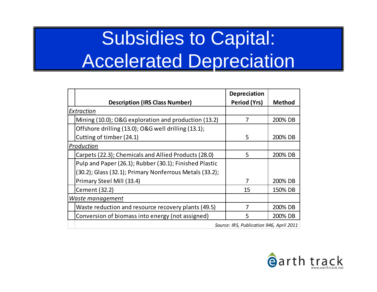# Subsidies to Capital: Accelerated Depreciation

|                                                         | <b>Depreciation</b> |               |
|---------------------------------------------------------|---------------------|---------------|
| <b>Description (IRS Class Number)</b>                   | Period (Yrs)        | <b>Method</b> |
| Extraction                                              |                     |               |
| Mining (10.0); O&G exploration and production (13.2)    | 7                   | 200% DB       |
| Offshore drilling (13.0); O&G well drilling (13.1);     |                     |               |
| Cutting of timber (24.1)                                | 5                   | 200% DB       |
| Production                                              |                     |               |
| Carpets (22.3); Chemicals and Allied Products (28.0)    | 5                   | 200% DB       |
| Pulp and Paper (26.1); Rubber (30.1); Finished Plastic  |                     |               |
| (30.2); Glass (32.1); Primary Nonferrous Metals (33.2); |                     |               |
| Primary Steel Mill (33.4)                               | 7                   | 200% DB       |
| Cement (32.2)                                           | 15                  | 150% DB       |
| Waste management                                        |                     |               |
| Waste reduction and resource recovery plants (49.5)     | 7                   | 200% DB       |
| Conversion of biomass into energy (not assigned)        | 5                   | 200% DB       |
| Source: IRS, Publication 946, April 2011                |                     |               |

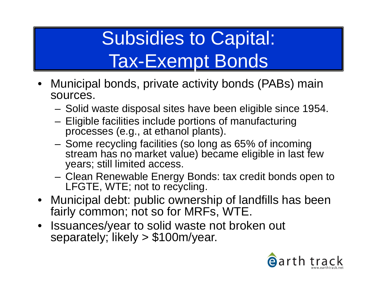## Subsidies to Capital: Tax-Exempt Bonds

- Municipal bonds, private activity bonds (PABs) main sources.
	- Solid waste disposal sites have been eligible since 1954.
	- – Eligible facilities include portions of manufacturing processes (e.g., at ethanol plants).
	- Some recycling facilities (so long as 65% of incoming stream has no market value) became eligible in last few years; still limited access.
	- Clean Renewable Energy Bonds: tax credit bonds open to LFGTE, WTE; not to recycling.
- Municipal debt: public ownership of landfills has been fairly common; not so for MRFs, WTE.
- Issuances/year to solid waste not broken out separately; likely > \$100m/year.

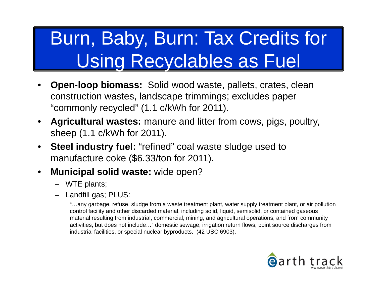#### Burn, Baby, Burn: Tax Credits for Using Recyclables as Fuel

- • **Open-loop biomass:** Solid wood waste, pallets, crates, clean construction wastes, landscape trimmings; excludes paper "commonly recycled" (1.1 c/kWh for 2011).
- • **Agricultural wastes:** manure and litter from cows, pigs, poultry, sheep (1.1 c/kWh for 2011).
- $\bullet$  **Steel industry fuel:** "refined" coal waste sludge used to manufacture coke (\$6.33/ton for 2011).
- $\bullet$  **Municipal solid waste:** wide open?
	- WTE plants;
	- Landfill gas; PLUS:

"…any garbage, refuse, sludge from a waste treatment plant, water supply treatment plant, or air pollution control facility and other discarded material, including solid, liquid, semisolid, or contained gaseous material resulting from industrial, commercial, mining, and agricultural operations, and from community activities, but does not include…" domestic sewage, irrigation return flows, point source discharges from industrial facilities, or special nuclear byproducts. (42 USC 6903).

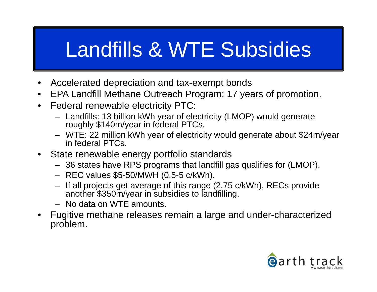# Landfills & WTE Subsidies

- $\bullet$ Accelerated depreciation and tax-exempt bonds
- $\bullet$ EPA Landfill Methane Outreach Program: 17 years of promotion.
- $\bullet$  Federal renewable electricity PTC:
	- Landfills: 13 billion kWh year of electricity (LMOP) would generate roughly \$140m/year in federal PTCs.
	- WTE: 22 million kWh year of electricity would generate about \$24m/year in federal PTCs.
- State renewable energy portfolio standards
	- 36 states have RPS programs that landfill gas qualifies for (LMOP).
	- REC values \$5-50/MWH (0.5-5 c/kWh).
	- If all projects get average of this range (2.75 c/kWh), RECs provide<br>another \$350m/year in subsidies to landfilling.
	- No data on WTE amounts.
- • Fugitive methane releases remain a large and under-characterized problem.

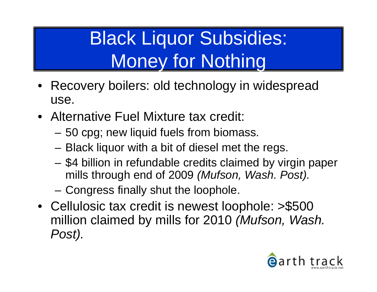#### Black Liquor Subsidies: Money for Nothing

- • Recovery boilers: old technology in widespread use.
- Alternative Fuel Mixture tax credit:
	- 50 cpg; new liquid fuels from biomass.
	- –Black liquor with a bit of diesel met the regs.
	- \$4 billion in refundable credits claimed by virgin paper mills through end of 2009 *(Mufson, Wash. Post).*
	- –Congress finally shut the loophole.
- Cellulosic tax credit is newest loophole: >\$500 million claimed by mills for 2010 *(Mufson, Wash. Post).*